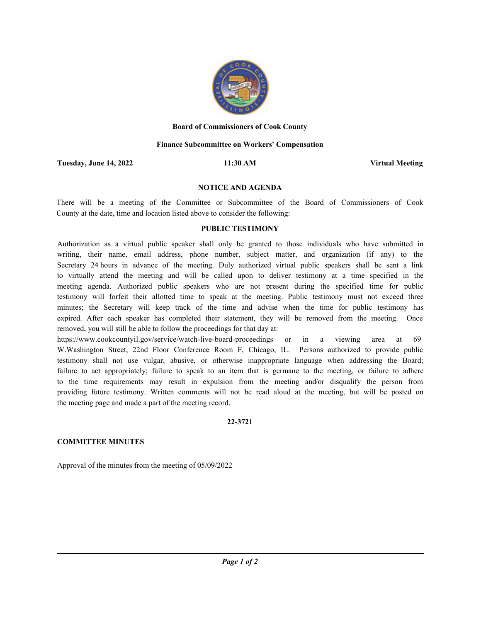

### **Board of Commissioners of Cook County**

### **Finance Subcommittee on Workers' Compensation**

**Tuesday, June 14, 2022 11:30 AM Virtual Meeting**

### **NOTICE AND AGENDA**

There will be a meeting of the Committee or Subcommittee of the Board of Commissioners of Cook County at the date, time and location listed above to consider the following:

## **PUBLIC TESTIMONY**

Authorization as a virtual public speaker shall only be granted to those individuals who have submitted in writing, their name, email address, phone number, subject matter, and organization (if any) to the Secretary 24 hours in advance of the meeting. Duly authorized virtual public speakers shall be sent a link to virtually attend the meeting and will be called upon to deliver testimony at a time specified in the meeting agenda. Authorized public speakers who are not present during the specified time for public testimony will forfeit their allotted time to speak at the meeting. Public testimony must not exceed three minutes; the Secretary will keep track of the time and advise when the time for public testimony has expired. After each speaker has completed their statement, they will be removed from the meeting. Once removed, you will still be able to follow the proceedings for that day at:

https://www.cookcountyil.gov/service/watch-live-board-proceedings or in a viewing area at 69 W.Washington Street, 22nd Floor Conference Room F, Chicago, IL. Persons authorized to provide public testimony shall not use vulgar, abusive, or otherwise inappropriate language when addressing the Board; failure to act appropriately; failure to speak to an item that is germane to the meeting, or failure to adhere to the time requirements may result in expulsion from the meeting and/or disqualify the person from providing future testimony. Written comments will not be read aloud at the meeting, but will be posted on the meeting page and made a part of the meeting record.

### **22-3721**

# **COMMITTEE MINUTES**

Approval of the minutes from the meeting of 05/09/2022